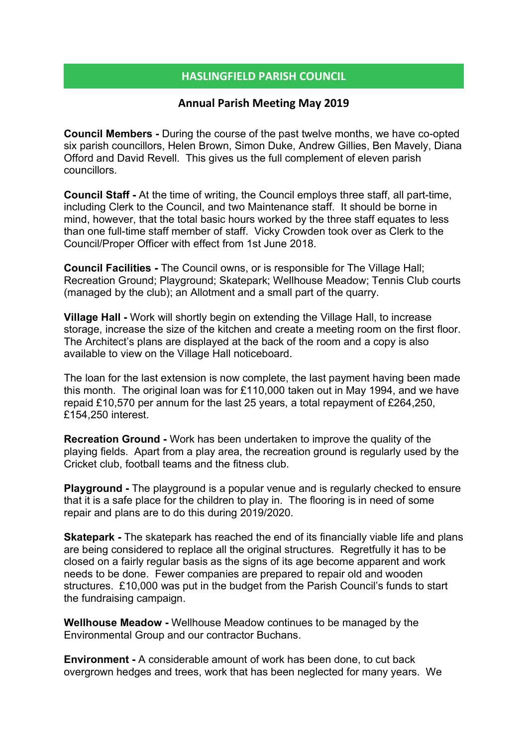## HASLINGFIELD PARISH COUNCIL

## Annual Parish Meeting May 2019

Council Members - During the course of the past twelve months, we have co-opted six parish councillors, Helen Brown, Simon Duke, Andrew Gillies, Ben Mavely, Diana Offord and David Revell. This gives us the full complement of eleven parish councillors.

Council Staff - At the time of writing, the Council employs three staff, all part-time, including Clerk to the Council, and two Maintenance staff. It should be borne in mind, however, that the total basic hours worked by the three staff equates to less than one full-time staff member of staff. Vicky Crowden took over as Clerk to the Council/Proper Officer with effect from 1st June 2018.

Council Facilities - The Council owns, or is responsible for The Village Hall; Recreation Ground; Playground; Skatepark; Wellhouse Meadow; Tennis Club courts (managed by the club); an Allotment and a small part of the quarry.

Village Hall - Work will shortly begin on extending the Village Hall, to increase storage, increase the size of the kitchen and create a meeting room on the first floor. The Architect's plans are displayed at the back of the room and a copy is also available to view on the Village Hall noticeboard.

The loan for the last extension is now complete, the last payment having been made this month. The original loan was for £110,000 taken out in May 1994, and we have repaid £10,570 per annum for the last 25 years, a total repayment of £264,250, £154,250 interest.

Recreation Ground - Work has been undertaken to improve the quality of the playing fields. Apart from a play area, the recreation ground is regularly used by the Cricket club, football teams and the fitness club.

Playground - The playground is a popular venue and is regularly checked to ensure that it is a safe place for the children to play in. The flooring is in need of some repair and plans are to do this during 2019/2020.

**Skatepark - The skatepark has reached the end of its financially viable life and plans** are being considered to replace all the original structures. Regretfully it has to be closed on a fairly regular basis as the signs of its age become apparent and work needs to be done. Fewer companies are prepared to repair old and wooden structures. £10,000 was put in the budget from the Parish Council's funds to start the fundraising campaign.

Wellhouse Meadow - Wellhouse Meadow continues to be managed by the Environmental Group and our contractor Buchans.

Environment - A considerable amount of work has been done, to cut back overgrown hedges and trees, work that has been neglected for many years. We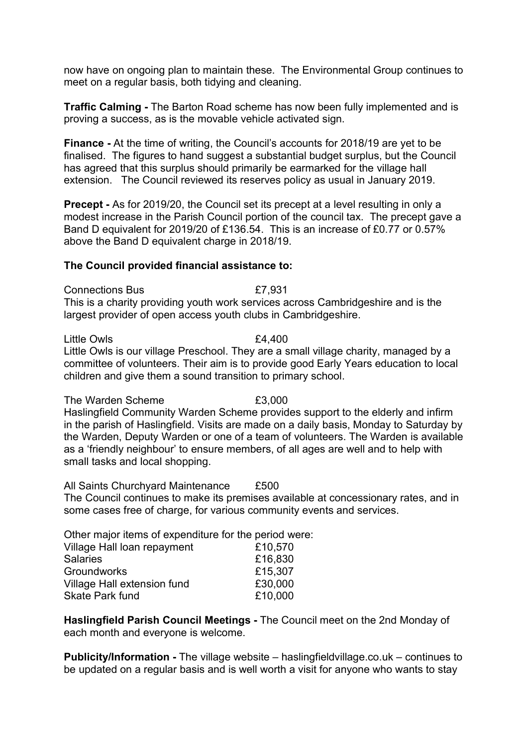now have on ongoing plan to maintain these. The Environmental Group continues to meet on a regular basis, both tidying and cleaning.

Traffic Calming - The Barton Road scheme has now been fully implemented and is proving a success, as is the movable vehicle activated sign.

Finance - At the time of writing, the Council's accounts for 2018/19 are yet to be finalised. The figures to hand suggest a substantial budget surplus, but the Council has agreed that this surplus should primarily be earmarked for the village hall extension. The Council reviewed its reserves policy as usual in January 2019.

Precept - As for 2019/20, the Council set its precept at a level resulting in only a modest increase in the Parish Council portion of the council tax. The precept gave a Band D equivalent for 2019/20 of £136.54. This is an increase of £0.77 or 0.57% above the Band D equivalent charge in 2018/19.

## The Council provided financial assistance to:

Connections Bus £7,931

This is a charity providing youth work services across Cambridgeshire and is the largest provider of open access youth clubs in Cambridgeshire.

Little Owls **E4,400** 

Little Owls is our village Preschool. They are a small village charity, managed by a committee of volunteers. Their aim is to provide good Early Years education to local children and give them a sound transition to primary school.

The Warden Scheme **E3,000** Haslingfield Community Warden Scheme provides support to the elderly and infirm in the parish of Haslingfield. Visits are made on a daily basis, Monday to Saturday by the Warden, Deputy Warden or one of a team of volunteers. The Warden is available as a 'friendly neighbour' to ensure members, of all ages are well and to help with small tasks and local shopping.

All Saints Churchyard Maintenance £500 The Council continues to make its premises available at concessionary rates, and in some cases free of charge, for various community events and services.

Other major items of expenditure for the period were:

| Village Hall loan repayment | £10,570 |
|-----------------------------|---------|
| <b>Salaries</b>             | £16,830 |
| <b>Groundworks</b>          | £15,307 |
| Village Hall extension fund | £30,000 |
| <b>Skate Park fund</b>      | £10.000 |
|                             |         |

Haslingfield Parish Council Meetings - The Council meet on the 2nd Monday of each month and everyone is welcome.

Publicity/Information - The village website – haslingfieldvillage.co.uk – continues to be updated on a regular basis and is well worth a visit for anyone who wants to stay